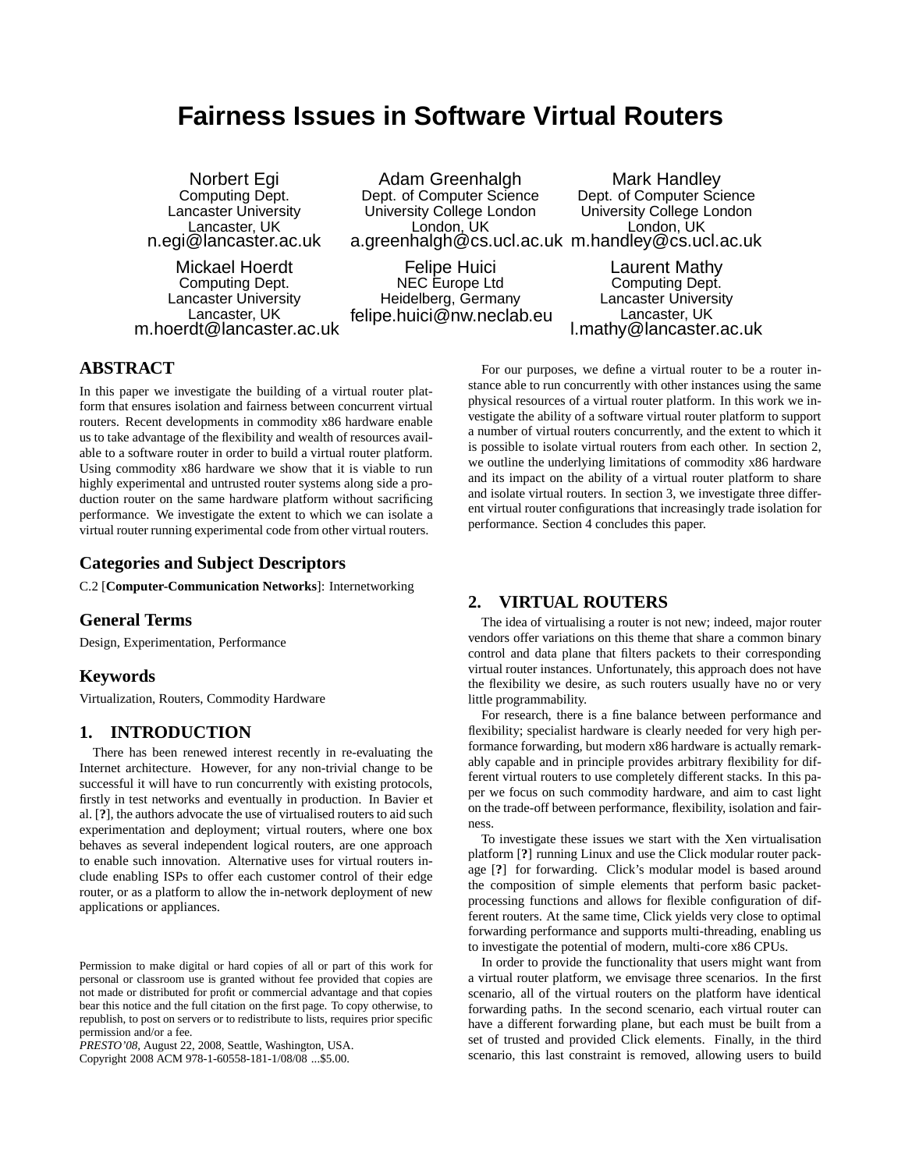# **Fairness Issues in Software Virtual Routers**

Norbert Egi Computing Dept. Lancaster University Lancaster, UK n.egi@lancaster.ac.uk

Mickael Hoerdt Computing Dept. Lancaster University Lancaster, UK m.hoerdt@lancaster.ac.uk

Adam Greenhalgh Dept. of Computer Science University College London London, UK

Felipe Huici NEC Europe Ltd Heidelberg, Germany felipe.huici@nw.neclab.eu

a.greenhalgh@cs.ucl.ac.uk m.handley@cs.ucl.ac.uk Mark Handley Dept. of Computer Science University College London London, UK

> Laurent Mathy Computing Dept. Lancaster University Lancaster, UK l.mathy@lancaster.ac.uk

# **ABSTRACT**

In this paper we investigate the building of a virtual router platform that ensures isolation and fairness between concurrent virtual routers. Recent developments in commodity x86 hardware enable us to take advantage of the flexibility and wealth of resources available to a software router in order to build a virtual router platform. Using commodity x86 hardware we show that it is viable to run highly experimental and untrusted router systems along side a production router on the same hardware platform without sacrificing performance. We investigate the extent to which we can isolate a virtual router running experimental code from other virtual routers.

# **Categories and Subject Descriptors**

C.2 [**Computer-Communication Networks**]: Internetworking

# **General Terms**

Design, Experimentation, Performance

### **Keywords**

Virtualization, Routers, Commodity Hardware

# **1. INTRODUCTION**

There has been renewed interest recently in re-evaluating the Internet architecture. However, for any non-trivial change to be successful it will have to run concurrently with existing protocols, firstly in test networks and eventually in production. In Bavier et al. [**?**], the authors advocate the use of virtualised routers to aid such experimentation and deployment; virtual routers, where one box behaves as several independent logical routers, are one approach to enable such innovation. Alternative uses for virtual routers include enabling ISPs to offer each customer control of their edge router, or as a platform to allow the in-network deployment of new applications or appliances.

Copyright 2008 ACM 978-1-60558-181-1/08/08 ...\$5.00.

For our purposes, we define a virtual router to be a router instance able to run concurrently with other instances using the same physical resources of a virtual router platform. In this work we investigate the ability of a software virtual router platform to support a number of virtual routers concurrently, and the extent to which it is possible to isolate virtual routers from each other. In section 2, we outline the underlying limitations of commodity x86 hardware and its impact on the ability of a virtual router platform to share and isolate virtual routers. In section 3, we investigate three different virtual router configurations that increasingly trade isolation for performance. Section 4 concludes this paper.

# **2. VIRTUAL ROUTERS**

The idea of virtualising a router is not new; indeed, major router vendors offer variations on this theme that share a common binary control and data plane that filters packets to their corresponding virtual router instances. Unfortunately, this approach does not have the flexibility we desire, as such routers usually have no or very little programmability.

For research, there is a fine balance between performance and flexibility; specialist hardware is clearly needed for very high performance forwarding, but modern x86 hardware is actually remarkably capable and in principle provides arbitrary flexibility for different virtual routers to use completely different stacks. In this paper we focus on such commodity hardware, and aim to cast light on the trade-off between performance, flexibility, isolation and fairness.

To investigate these issues we start with the Xen virtualisation platform [**?**] running Linux and use the Click modular router package [**?**] for forwarding. Click's modular model is based around the composition of simple elements that perform basic packetprocessing functions and allows for flexible configuration of different routers. At the same time, Click yields very close to optimal forwarding performance and supports multi-threading, enabling us to investigate the potential of modern, multi-core x86 CPUs.

In order to provide the functionality that users might want from a virtual router platform, we envisage three scenarios. In the first scenario, all of the virtual routers on the platform have identical forwarding paths. In the second scenario, each virtual router can have a different forwarding plane, but each must be built from a set of trusted and provided Click elements. Finally, in the third scenario, this last constraint is removed, allowing users to build

Permission to make digital or hard copies of all or part of this work for personal or classroom use is granted without fee provided that copies are not made or distributed for profit or commercial advantage and that copies bear this notice and the full citation on the first page. To copy otherwise, to republish, to post on servers or to redistribute to lists, requires prior specific permission and/or a fee.

*PRESTO'08,* August 22, 2008, Seattle, Washington, USA.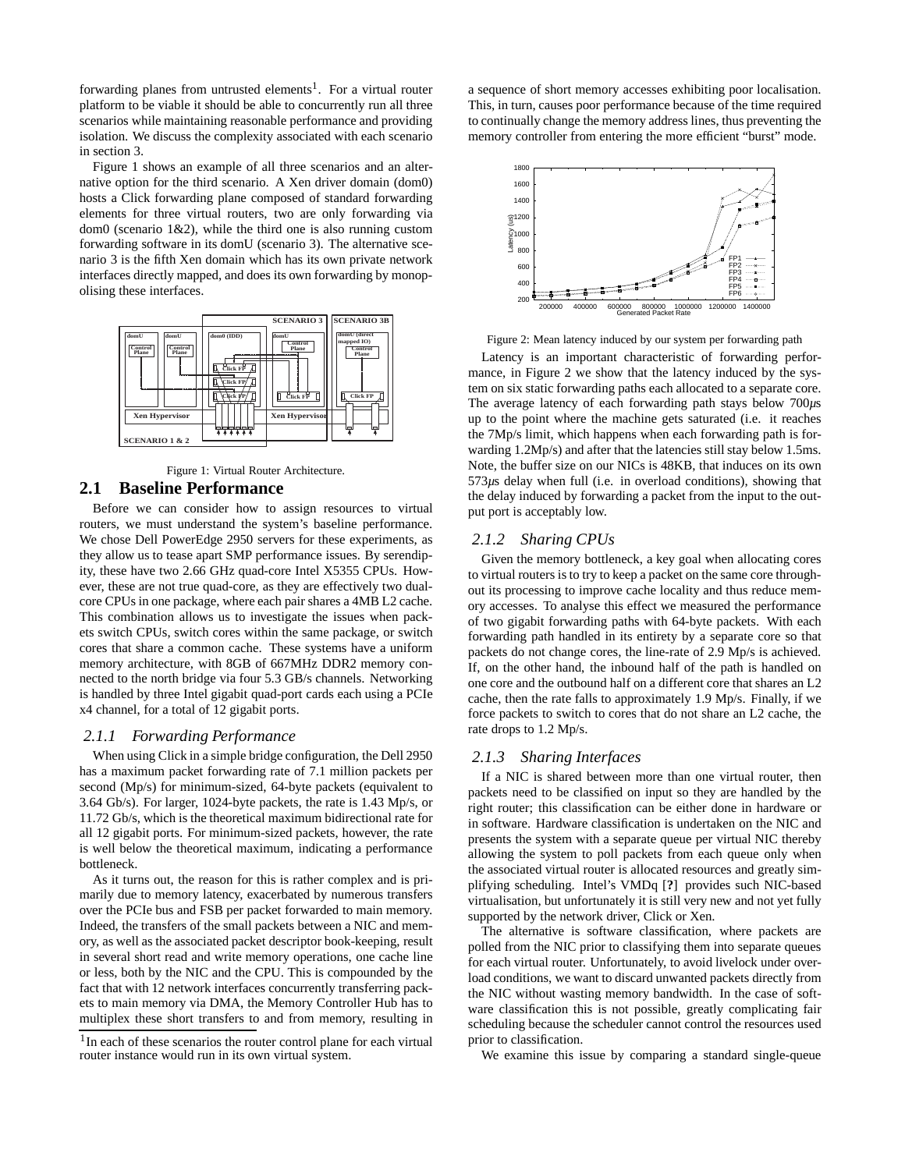forwarding planes from untrusted elements<sup>1</sup>. For a virtual router platform to be viable it should be able to concurrently run all three scenarios while maintaining reasonable performance and providing isolation. We discuss the complexity associated with each scenario in section 3.

Figure 1 shows an example of all three scenarios and an alternative option for the third scenario. A Xen driver domain (dom0) hosts a Click forwarding plane composed of standard forwarding elements for three virtual routers, two are only forwarding via dom0 (scenario 1&2), while the third one is also running custom forwarding software in its domU (scenario 3). The alternative scenario 3 is the fifth Xen domain which has its own private network interfaces directly mapped, and does its own forwarding by monopolising these interfaces.





#### **2.1 Baseline Performance**

Before we can consider how to assign resources to virtual routers, we must understand the system's baseline performance. We chose Dell PowerEdge 2950 servers for these experiments, as they allow us to tease apart SMP performance issues. By serendipity, these have two 2.66 GHz quad-core Intel X5355 CPUs. However, these are not true quad-core, as they are effectively two dualcore CPUs in one package, where each pair shares a 4MB L2 cache. This combination allows us to investigate the issues when packets switch CPUs, switch cores within the same package, or switch cores that share a common cache. These systems have a uniform memory architecture, with 8GB of 667MHz DDR2 memory connected to the north bridge via four 5.3 GB/s channels. Networking is handled by three Intel gigabit quad-port cards each using a PCIe x4 channel, for a total of 12 gigabit ports.

#### *2.1.1 Forwarding Performance*

When using Click in a simple bridge configuration, the Dell 2950 has a maximum packet forwarding rate of 7.1 million packets per second (Mp/s) for minimum-sized, 64-byte packets (equivalent to 3.64 Gb/s). For larger, 1024-byte packets, the rate is 1.43 Mp/s, or 11.72 Gb/s, which is the theoretical maximum bidirectional rate for all 12 gigabit ports. For minimum-sized packets, however, the rate is well below the theoretical maximum, indicating a performance bottleneck.

As it turns out, the reason for this is rather complex and is primarily due to memory latency, exacerbated by numerous transfers over the PCIe bus and FSB per packet forwarded to main memory. Indeed, the transfers of the small packets between a NIC and memory, as well as the associated packet descriptor book-keeping, result in several short read and write memory operations, one cache line or less, both by the NIC and the CPU. This is compounded by the fact that with 12 network interfaces concurrently transferring packets to main memory via DMA, the Memory Controller Hub has to multiplex these short transfers to and from memory, resulting in

a sequence of short memory accesses exhibiting poor localisation. This, in turn, causes poor performance because of the time required to continually change the memory address lines, thus preventing the memory controller from entering the more efficient "burst" mode.



Figure 2: Mean latency induced by our system per forwarding path

Latency is an important characteristic of forwarding performance, in Figure 2 we show that the latency induced by the system on six static forwarding paths each allocated to a separate core. The average latency of each forwarding path stays below 700*µ*s up to the point where the machine gets saturated (i.e. it reaches the 7Mp/s limit, which happens when each forwarding path is forwarding 1.2Mp/s) and after that the latencies still stay below 1.5ms. Note, the buffer size on our NICs is 48KB, that induces on its own 573*µ*s delay when full (i.e. in overload conditions), showing that the delay induced by forwarding a packet from the input to the output port is acceptably low.

#### *2.1.2 Sharing CPUs*

Given the memory bottleneck, a key goal when allocating cores to virtual routers is to try to keep a packet on the same core throughout its processing to improve cache locality and thus reduce memory accesses. To analyse this effect we measured the performance of two gigabit forwarding paths with 64-byte packets. With each forwarding path handled in its entirety by a separate core so that packets do not change cores, the line-rate of 2.9 Mp/s is achieved. If, on the other hand, the inbound half of the path is handled on one core and the outbound half on a different core that shares an L2 cache, then the rate falls to approximately 1.9 Mp/s. Finally, if we force packets to switch to cores that do not share an L2 cache, the rate drops to 1.2 Mp/s.

## *2.1.3 Sharing Interfaces*

If a NIC is shared between more than one virtual router, then packets need to be classified on input so they are handled by the right router; this classification can be either done in hardware or in software. Hardware classification is undertaken on the NIC and presents the system with a separate queue per virtual NIC thereby allowing the system to poll packets from each queue only when the associated virtual router is allocated resources and greatly simplifying scheduling. Intel's VMDq [**?**] provides such NIC-based virtualisation, but unfortunately it is still very new and not yet fully supported by the network driver, Click or Xen.

The alternative is software classification, where packets are polled from the NIC prior to classifying them into separate queues for each virtual router. Unfortunately, to avoid livelock under overload conditions, we want to discard unwanted packets directly from the NIC without wasting memory bandwidth. In the case of software classification this is not possible, greatly complicating fair scheduling because the scheduler cannot control the resources used prior to classification.

We examine this issue by comparing a standard single-queue

<sup>&</sup>lt;sup>1</sup>In each of these scenarios the router control plane for each virtual router instance would run in its own virtual system.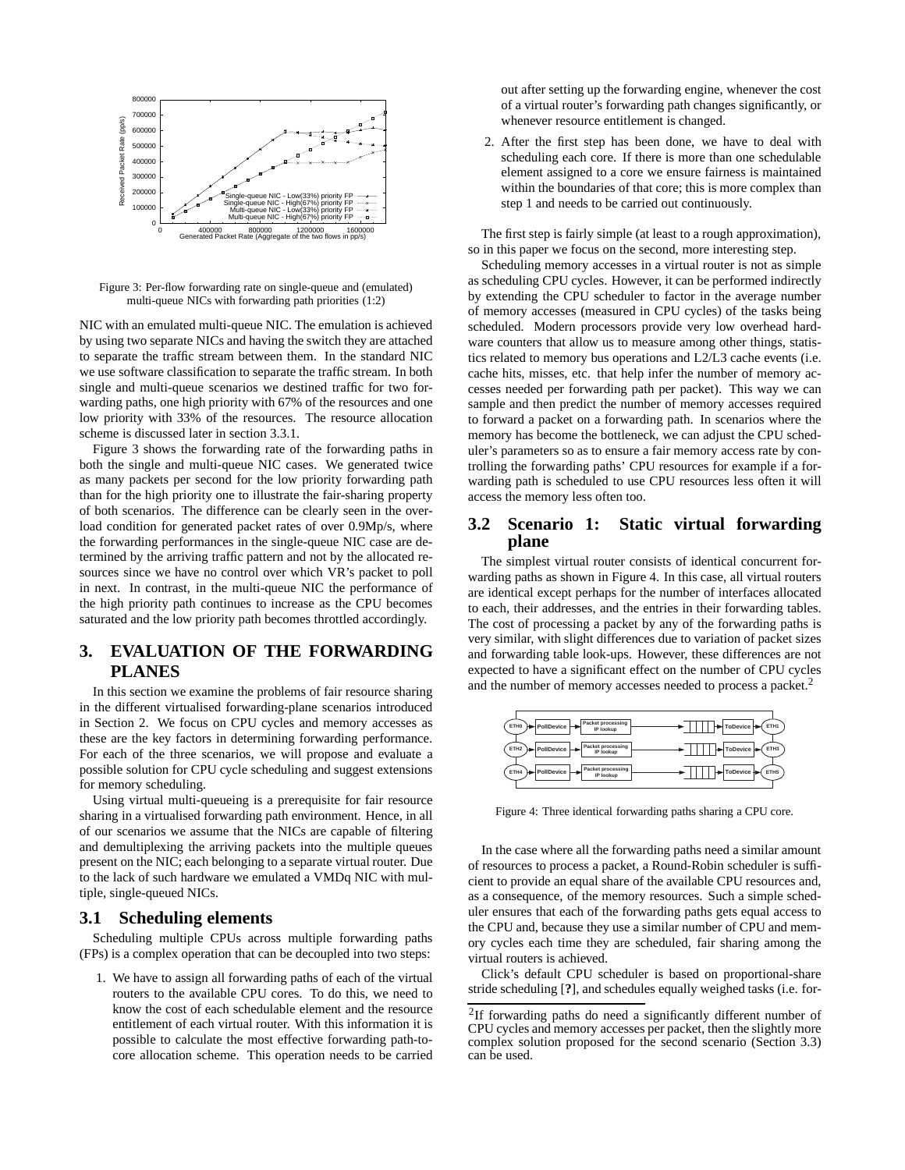

Figure 3: Per-flow forwarding rate on single-queue and (emulated) multi-queue NICs with forwarding path priorities (1:2)

NIC with an emulated multi-queue NIC. The emulation is achieved by using two separate NICs and having the switch they are attached to separate the traffic stream between them. In the standard NIC we use software classification to separate the traffic stream. In both single and multi-queue scenarios we destined traffic for two forwarding paths, one high priority with 67% of the resources and one low priority with 33% of the resources. The resource allocation scheme is discussed later in section 3.3.1.

Figure 3 shows the forwarding rate of the forwarding paths in both the single and multi-queue NIC cases. We generated twice as many packets per second for the low priority forwarding path than for the high priority one to illustrate the fair-sharing property of both scenarios. The difference can be clearly seen in the overload condition for generated packet rates of over 0.9Mp/s, where the forwarding performances in the single-queue NIC case are determined by the arriving traffic pattern and not by the allocated resources since we have no control over which VR's packet to poll in next. In contrast, in the multi-queue NIC the performance of the high priority path continues to increase as the CPU becomes saturated and the low priority path becomes throttled accordingly.

# **3. EVALUATION OF THE FORWARDING PLANES**

In this section we examine the problems of fair resource sharing in the different virtualised forwarding-plane scenarios introduced in Section 2. We focus on CPU cycles and memory accesses as these are the key factors in determining forwarding performance. For each of the three scenarios, we will propose and evaluate a possible solution for CPU cycle scheduling and suggest extensions for memory scheduling.

Using virtual multi-queueing is a prerequisite for fair resource sharing in a virtualised forwarding path environment. Hence, in all of our scenarios we assume that the NICs are capable of filtering and demultiplexing the arriving packets into the multiple queues present on the NIC; each belonging to a separate virtual router. Due to the lack of such hardware we emulated a VMDq NIC with multiple, single-queued NICs.

## **3.1 Scheduling elements**

Scheduling multiple CPUs across multiple forwarding paths (FPs) is a complex operation that can be decoupled into two steps:

1. We have to assign all forwarding paths of each of the virtual routers to the available CPU cores. To do this, we need to know the cost of each schedulable element and the resource entitlement of each virtual router. With this information it is possible to calculate the most effective forwarding path-tocore allocation scheme. This operation needs to be carried

out after setting up the forwarding engine, whenever the cost of a virtual router's forwarding path changes significantly, or whenever resource entitlement is changed.

2. After the first step has been done, we have to deal with scheduling each core. If there is more than one schedulable element assigned to a core we ensure fairness is maintained within the boundaries of that core; this is more complex than step 1 and needs to be carried out continuously.

The first step is fairly simple (at least to a rough approximation), so in this paper we focus on the second, more interesting step.

Scheduling memory accesses in a virtual router is not as simple as scheduling CPU cycles. However, it can be performed indirectly by extending the CPU scheduler to factor in the average number of memory accesses (measured in CPU cycles) of the tasks being scheduled. Modern processors provide very low overhead hardware counters that allow us to measure among other things, statistics related to memory bus operations and L2/L3 cache events (i.e. cache hits, misses, etc. that help infer the number of memory accesses needed per forwarding path per packet). This way we can sample and then predict the number of memory accesses required to forward a packet on a forwarding path. In scenarios where the memory has become the bottleneck, we can adjust the CPU scheduler's parameters so as to ensure a fair memory access rate by controlling the forwarding paths' CPU resources for example if a forwarding path is scheduled to use CPU resources less often it will access the memory less often too.

## **3.2 Scenario 1: Static virtual forwarding plane**

The simplest virtual router consists of identical concurrent forwarding paths as shown in Figure 4. In this case, all virtual routers are identical except perhaps for the number of interfaces allocated to each, their addresses, and the entries in their forwarding tables. The cost of processing a packet by any of the forwarding paths is very similar, with slight differences due to variation of packet sizes and forwarding table look-ups. However, these differences are not expected to have a significant effect on the number of CPU cycles and the number of memory accesses needed to process a packet.<sup>2</sup>

| Packet processing<br>PollDevice<br>ETH <sub>0</sub><br>IP lookup             | ToDevice -<br>ETH1 |
|------------------------------------------------------------------------------|--------------------|
| Packet processing<br>PollDevice<br>ToDevice<br>ETH <sub>2</sub><br>IP lookup | ETH3               |
| Packet processing<br>ToDevice<br>PollDevice<br>ETH4<br>IP lookup             | ETH5               |

Figure 4: Three identical forwarding paths sharing a CPU core.

In the case where all the forwarding paths need a similar amount of resources to process a packet, a Round-Robin scheduler is sufficient to provide an equal share of the available CPU resources and, as a consequence, of the memory resources. Such a simple scheduler ensures that each of the forwarding paths gets equal access to the CPU and, because they use a similar number of CPU and memory cycles each time they are scheduled, fair sharing among the virtual routers is achieved.

Click's default CPU scheduler is based on proportional-share stride scheduling [**?**], and schedules equally weighed tasks (i.e. for-

<sup>&</sup>lt;sup>2</sup>If forwarding paths do need a significantly different number of CPU cycles and memory accesses per packet, then the slightly more complex solution proposed for the second scenario (Section 3.3) can be used.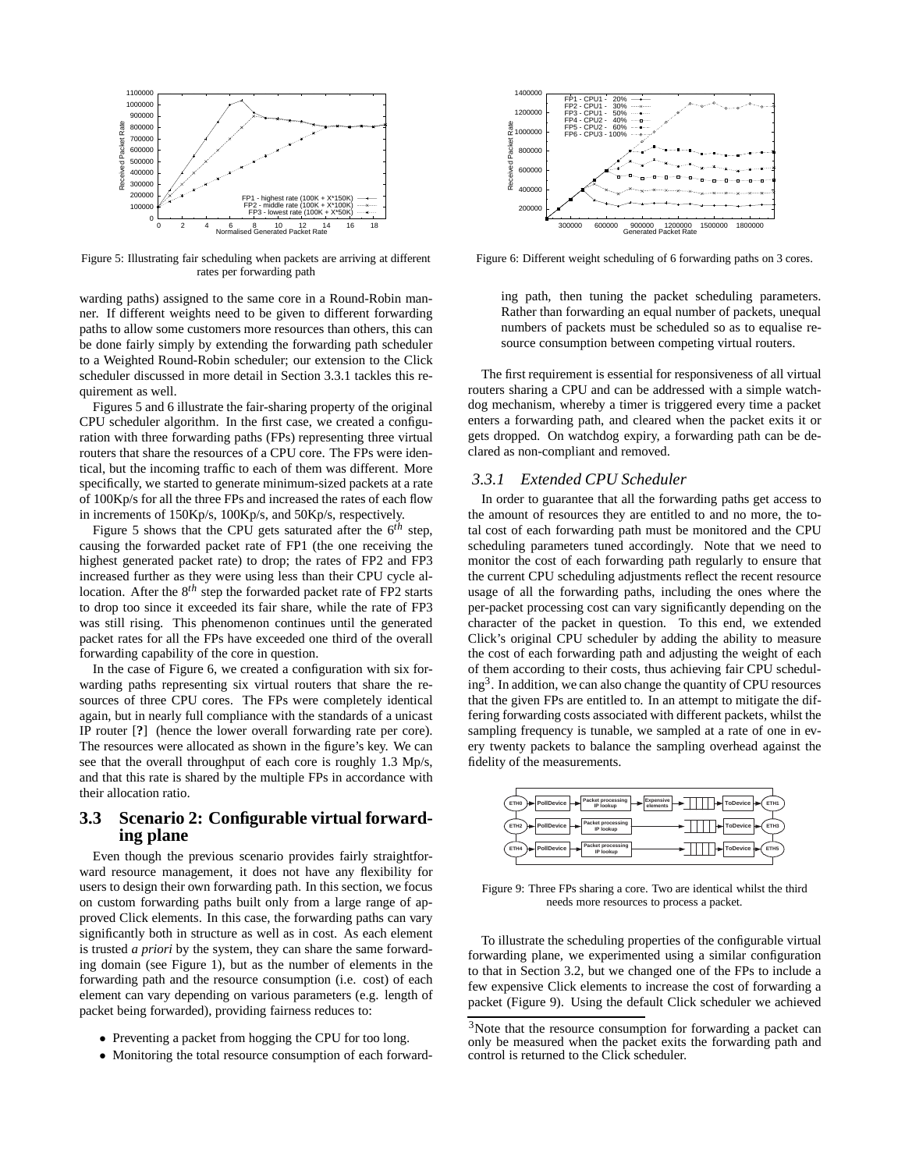

Figure 5: Illustrating fair scheduling when packets are arriving at different rates per forwarding path

warding paths) assigned to the same core in a Round-Robin manner. If different weights need to be given to different forwarding paths to allow some customers more resources than others, this can be done fairly simply by extending the forwarding path scheduler to a Weighted Round-Robin scheduler; our extension to the Click scheduler discussed in more detail in Section 3.3.1 tackles this requirement as well.

Figures 5 and 6 illustrate the fair-sharing property of the original CPU scheduler algorithm. In the first case, we created a configuration with three forwarding paths (FPs) representing three virtual routers that share the resources of a CPU core. The FPs were identical, but the incoming traffic to each of them was different. More specifically, we started to generate minimum-sized packets at a rate of 100Kp/s for all the three FPs and increased the rates of each flow in increments of 150Kp/s, 100Kp/s, and 50Kp/s, respectively.

Figure 5 shows that the CPU gets saturated after the 6*th* step, causing the forwarded packet rate of FP1 (the one receiving the highest generated packet rate) to drop; the rates of FP2 and FP3 increased further as they were using less than their CPU cycle allocation. After the 8*th* step the forwarded packet rate of FP2 starts to drop too since it exceeded its fair share, while the rate of FP3 was still rising. This phenomenon continues until the generated packet rates for all the FPs have exceeded one third of the overall forwarding capability of the core in question.

In the case of Figure 6, we created a configuration with six forwarding paths representing six virtual routers that share the resources of three CPU cores. The FPs were completely identical again, but in nearly full compliance with the standards of a unicast IP router [**?**] (hence the lower overall forwarding rate per core). The resources were allocated as shown in the figure's key. We can see that the overall throughput of each core is roughly 1.3 Mp/s, and that this rate is shared by the multiple FPs in accordance with their allocation ratio.

## **3.3 Scenario 2: Configurable virtual forwarding plane**

Even though the previous scenario provides fairly straightforward resource management, it does not have any flexibility for users to design their own forwarding path. In this section, we focus on custom forwarding paths built only from a large range of approved Click elements. In this case, the forwarding paths can vary significantly both in structure as well as in cost. As each element is trusted *a priori* by the system, they can share the same forwarding domain (see Figure 1), but as the number of elements in the forwarding path and the resource consumption (i.e. cost) of each element can vary depending on various parameters (e.g. length of packet being forwarded), providing fairness reduces to:

- Preventing a packet from hogging the CPU for too long.
- Monitoring the total resource consumption of each forward-



Figure 6: Different weight scheduling of 6 forwarding paths on 3 cores.

ing path, then tuning the packet scheduling parameters. Rather than forwarding an equal number of packets, unequal numbers of packets must be scheduled so as to equalise resource consumption between competing virtual routers.

The first requirement is essential for responsiveness of all virtual routers sharing a CPU and can be addressed with a simple watchdog mechanism, whereby a timer is triggered every time a packet enters a forwarding path, and cleared when the packet exits it or gets dropped. On watchdog expiry, a forwarding path can be declared as non-compliant and removed.

#### *3.3.1 Extended CPU Scheduler*

In order to guarantee that all the forwarding paths get access to the amount of resources they are entitled to and no more, the total cost of each forwarding path must be monitored and the CPU scheduling parameters tuned accordingly. Note that we need to monitor the cost of each forwarding path regularly to ensure that the current CPU scheduling adjustments reflect the recent resource usage of all the forwarding paths, including the ones where the per-packet processing cost can vary significantly depending on the character of the packet in question. To this end, we extended Click's original CPU scheduler by adding the ability to measure the cost of each forwarding path and adjusting the weight of each of them according to their costs, thus achieving fair CPU scheduling<sup>3</sup> . In addition, we can also change the quantity of CPU resources that the given FPs are entitled to. In an attempt to mitigate the differing forwarding costs associated with different packets, whilst the sampling frequency is tunable, we sampled at a rate of one in every twenty packets to balance the sampling overhead against the fidelity of the measurements.



Figure 9: Three FPs sharing a core. Two are identical whilst the third needs more resources to process a packet.

To illustrate the scheduling properties of the configurable virtual forwarding plane, we experimented using a similar configuration to that in Section 3.2, but we changed one of the FPs to include a few expensive Click elements to increase the cost of forwarding a packet (Figure 9). Using the default Click scheduler we achieved

<sup>3</sup>Note that the resource consumption for forwarding a packet can only be measured when the packet exits the forwarding path and control is returned to the Click scheduler.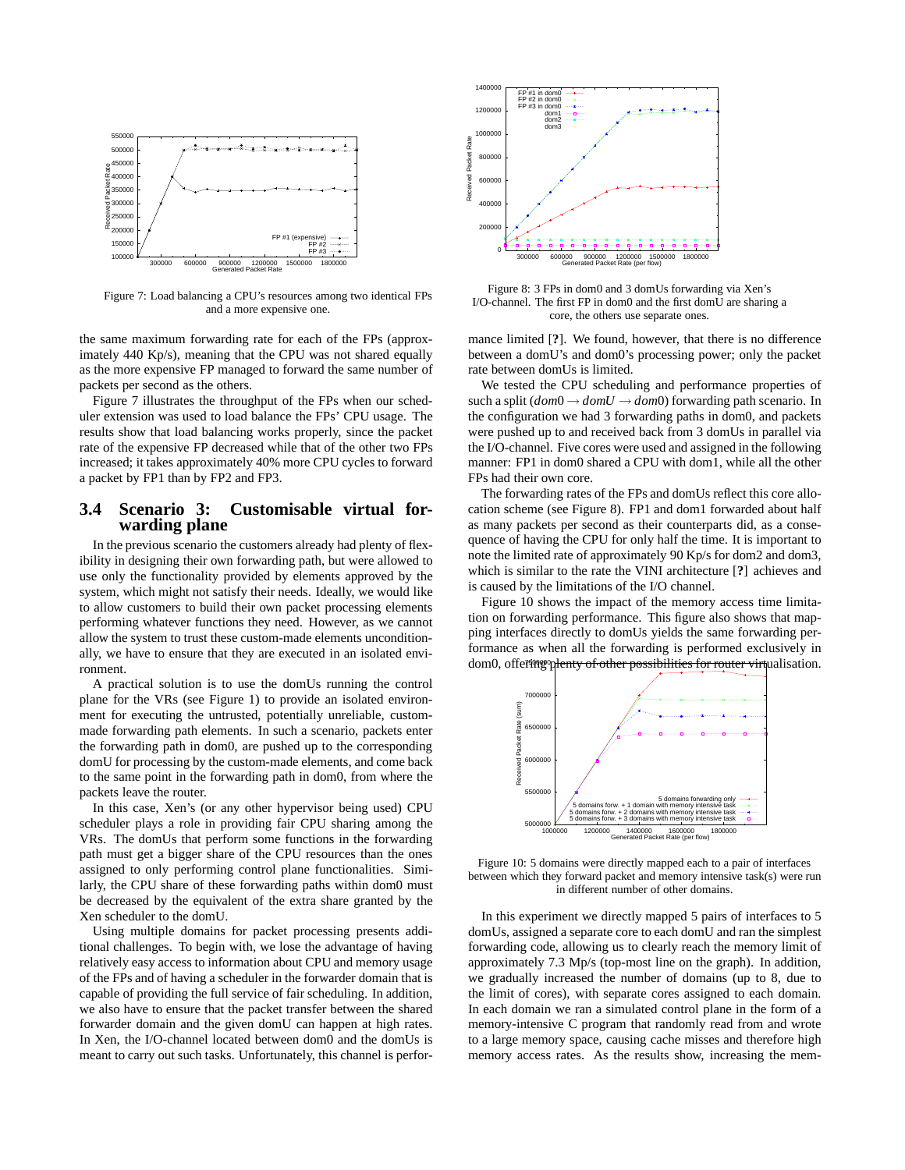

Figure 7: Load balancing a CPU's resources among two identical FPs and a more expensive one.

the same maximum forwarding rate for each of the FPs (approximately 440 Kp/s), meaning that the CPU was not shared equally as the more expensive FP managed to forward the same number of packets per second as the others.

Figure 7 illustrates the throughput of the FPs when our scheduler extension was used to load balance the FPs' CPU usage. The results show that load balancing works properly, since the packet rate of the expensive FP decreased while that of the other two FPs increased; it takes approximately 40% more CPU cycles to forward a packet by FP1 than by FP2 and FP3.

#### **3.4 Scenario 3: Customisable virtual forwarding plane**

In the previous scenario the customers already had plenty of flexibility in designing their own forwarding path, but were allowed to use only the functionality provided by elements approved by the system, which might not satisfy their needs. Ideally, we would like to allow customers to build their own packet processing elements performing whatever functions they need. However, as we cannot allow the system to trust these custom-made elements unconditionally, we have to ensure that they are executed in an isolated environment.

A practical solution is to use the domUs running the control plane for the VRs (see Figure 1) to provide an isolated environment for executing the untrusted, potentially unreliable, custommade forwarding path elements. In such a scenario, packets enter the forwarding path in dom0, are pushed up to the corresponding domU for processing by the custom-made elements, and come back to the same point in the forwarding path in dom0, from where the packets leave the router.

In this case, Xen's (or any other hypervisor being used) CPU scheduler plays a role in providing fair CPU sharing among the VRs. The domUs that perform some functions in the forwarding path must get a bigger share of the CPU resources than the ones assigned to only performing control plane functionalities. Similarly, the CPU share of these forwarding paths within dom0 must be decreased by the equivalent of the extra share granted by the Xen scheduler to the domU.

Using multiple domains for packet processing presents additional challenges. To begin with, we lose the advantage of having relatively easy access to information about CPU and memory usage of the FPs and of having a scheduler in the forwarder domain that is capable of providing the full service of fair scheduling. In addition, we also have to ensure that the packet transfer between the shared forwarder domain and the given domU can happen at high rates. In Xen, the I/O-channel located between dom0 and the domUs is meant to carry out such tasks. Unfortunately, this channel is perfor-



Figure 8: 3 FPs in dom0 and 3 domUs forwarding via Xen's I/O-channel. The first FP in dom0 and the first domU are sharing a core, the others use separate ones.

mance limited [**?**]. We found, however, that there is no difference between a domU's and dom0's processing power; only the packet rate between domUs is limited.

We tested the CPU scheduling and performance properties of such a split  $(dom0 \rightarrow domU \rightarrow dom0)$  forwarding path scenario. In the configuration we had 3 forwarding paths in dom0, and packets were pushed up to and received back from 3 domUs in parallel via the I/O-channel. Five cores were used and assigned in the following manner: FP1 in dom0 shared a CPU with dom1, while all the other FPs had their own core.

The forwarding rates of the FPs and domUs reflect this core allocation scheme (see Figure 8). FP1 and dom1 forwarded about half as many packets per second as their counterparts did, as a consequence of having the CPU for only half the time. It is important to note the limited rate of approximately 90 Kp/s for dom2 and dom3, which is similar to the rate the VINI architecture [**?**] achieves and is caused by the limitations of the I/O channel.

Figure 10 shows the impact of the memory access time limitation on forwarding performance. This figure also shows that mapping interfaces directly to domUs yields the same forwarding performance as when all the forwarding is performed exclusively in dom0, offering plenty of other possibilities for router virtualisation.



Figure 10: 5 domains were directly mapped each to a pair of interfaces between which they forward packet and memory intensive task(s) were run in different number of other domains.

In this experiment we directly mapped 5 pairs of interfaces to 5 domUs, assigned a separate core to each domU and ran the simplest forwarding code, allowing us to clearly reach the memory limit of approximately 7.3 Mp/s (top-most line on the graph). In addition, we gradually increased the number of domains (up to 8, due to the limit of cores), with separate cores assigned to each domain. In each domain we ran a simulated control plane in the form of a memory-intensive C program that randomly read from and wrote to a large memory space, causing cache misses and therefore high memory access rates. As the results show, increasing the mem